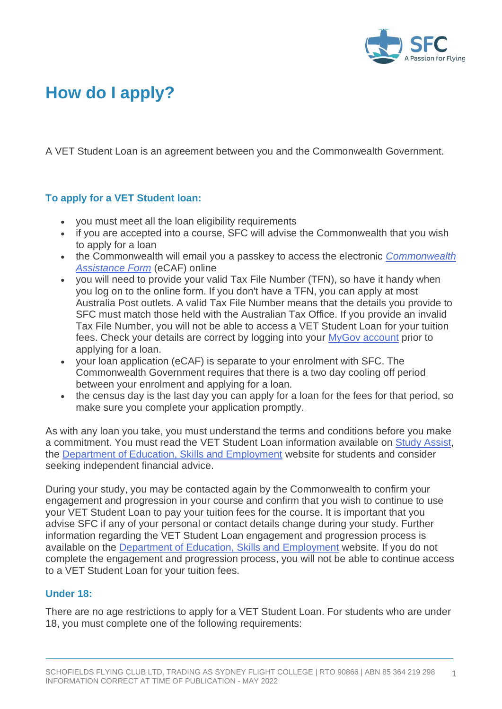

## **How do I apply?**

A VET Student Loan is an agreement between you and the Commonwealth Government.

## **To apply for a VET Student loan:**

- you must meet all the loan eligibility requirements
- if you are accepted into a course, SFC will advise the Commonwealth that you wish to apply for a loan
- the Commonwealth will email you a passkey to access the electronic *[Commonwealth](https://www.dese.gov.au/vet-student-loans/resources/ecaf-fact-sheet)  [Assistance Form](https://www.dese.gov.au/vet-student-loans/resources/ecaf-fact-sheet)* (eCAF) online
- you will need to provide your valid Tax File Number (TFN), so have it handy when you log on to the online form. If you don't have a TFN, you can apply at most Australia Post outlets. A valid Tax File Number means that the details you provide to SFC must match those held with the Australian Tax Office. If you provide an invalid Tax File Number, you will not be able to access a VET Student Loan for your tuition fees. Check your details are correct by logging into your [MyGov account](https://my.gov.au/) prior to applying for a loan.
- your loan application (eCAF) is separate to your enrolment with SFC. The Commonwealth Government requires that there is a two day cooling off period between your enrolment and applying for a loan.
- the census day is the last day you can apply for a loan for the fees for that period, so make sure you complete your application promptly.

As with any loan you take, you must understand the terms and conditions before you make a commitment. You must read the VET Student Loan information available on [Study Assist,](https://www.studyassist.gov.au/) the [Department of Education, Skills and Employment](https://www.dese.gov.au/vet-student-loans/vet-information-students/information-vet-student-loans-students) website for students and consider seeking independent financial advice.

During your study, you may be contacted again by the Commonwealth to confirm your engagement and progression in your course and confirm that you wish to continue to use your VET Student Loan to pay your tuition fees for the course. It is important that you advise SFC if any of your personal or contact details change during your study. Further information regarding the VET Student Loan engagement and progression process is available on the [Department of Education, Skills and Employment](https://www.dese.gov.au/vet-student-loans/resources/student-progression-fact-sheet) website. If you do not complete the engagement and progression process, you will not be able to continue access to a VET Student Loan for your tuition fees.

## **Under 18:**

There are no age restrictions to apply for a VET Student Loan. For students who are under 18, you must complete one of the following requirements: